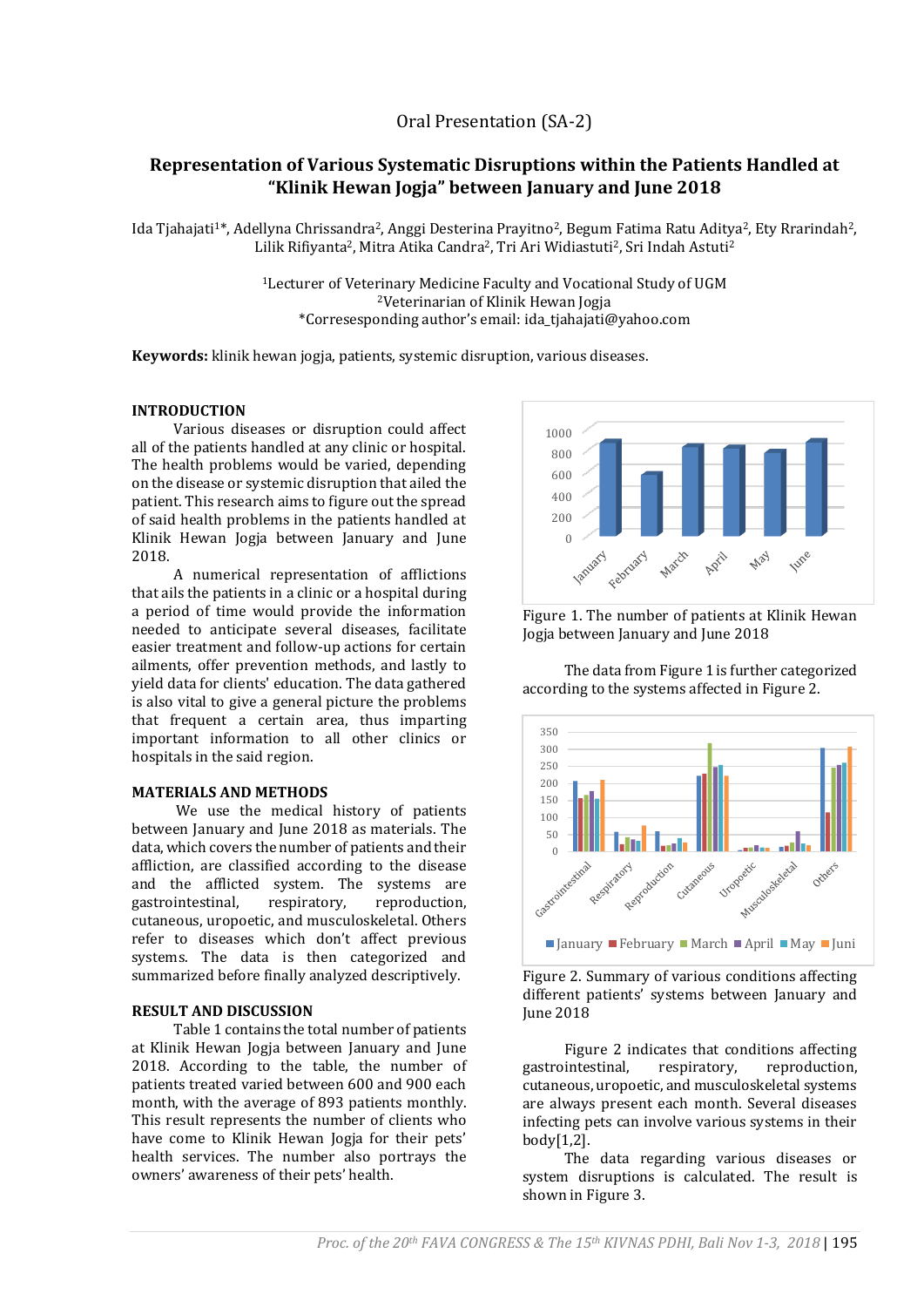# **Representation of Various Systematic Disruptions within the Patients Handled at "Klinik Hewan Jogja" between January and June 2018**

Ida Tjahajati<sup>1\*</sup>, Adellyna Chrissandra<sup>2</sup>, Anggi Desterina Prayitno<sup>2</sup>, Begum Fatima Ratu Aditya<sup>2</sup>, Ety Rrarindah<sup>2</sup>, Lilik Rifiyanta<sup>2</sup>, Mitra Atika Candra<sup>2</sup>, Tri Ari Widiastuti<sup>2</sup>, Sri Indah Astuti<sup>2</sup>

> <sup>1</sup>Lecturer of Veterinary Medicine Faculty and Vocational Study of UGM <sup>2</sup>Veterinarian of Klinik Hewan Jogja \*Corresesponding author's email: ida\_tjahajati@yahoo.com

**Keywords:** klinik hewan jogja, patients, systemic disruption, various diseases.

### **INTRODUCTION**

Various diseases or disruption could affect all of the patients handled at any clinic or hospital. The health problems would be varied, depending on the disease or systemic disruption that ailed the patient. This research aims to figure out the spread of said health problems in the patients handled at Klinik Hewan Jogja between January and June 2018.

A numerical representation of afflictions that ails the patients in a clinic or a hospital during a period of time would provide the information needed to anticipate several diseases, facilitate easier treatment and follow-up actions for certain ailments, offer prevention methods, and lastly to yield data for clients' education. The data gathered is also vital to give a general picture the problems that frequent a certain area, thus imparting important information to all other clinics or hospitals in the said region.

### **MATERIALS AND METHODS**

We use the medical history of patients between January and June 2018 as materials. The data, which covers the number of patients and their affliction, are classified according to the disease and the afflicted system. The systems are gastrointestinal, respiratory, reproduction, cutaneous, uropoetic, and musculoskeletal. Others refer to diseases which don't affect previous systems. The data is then categorized and summarized before finally analyzed descriptively.

# **RESULT AND DISCUSSION**

Table 1 contains the total number of patients at Klinik Hewan Jogja between January and June 2018. According to the table, the number of patients treated varied between 600 and 900 each month, with the average of 893 patients monthly. This result represents the number of clients who have come to Klinik Hewan Jogja for their pets' health services. The number also portrays the owners' awareness of their pets' health.



Figure 1. The number of patients at Klinik Hewan Jogja between January and June 2018

The data from Figure 1 is further categorized according to the systems affected in Figure 2.



Figure 2. Summary of various conditions affecting different patients' systems between January and June 2018

Figure 2 indicates that conditions affecting gastrointestinal, respiratory, reproduction, cutaneous, uropoetic, and musculoskeletal systems are always present each month. Several diseases infecting pets can involve various systems in their body[1,2].

The data regarding various diseases or system disruptions is calculated. The result is shown in Figure 3.